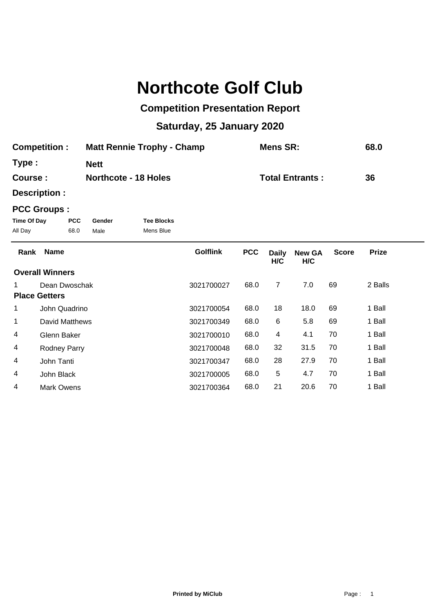## **Northcote Golf Club**

## **Competition Presentation Report**

## **Saturday, 25 January 2020**

| <b>Competition:</b> | <b>Matt Rennie Trophy - Champ</b> | Mens SR:               | 68.0 |
|---------------------|-----------------------------------|------------------------|------|
| Type:               | <b>Nett</b>                       |                        |      |
| Course :            | <b>Northcote - 18 Holes</b>       | <b>Total Entrants:</b> | 36   |

**Description :**

## **PCC Groups :**

| Time Of Day | <b>PCC</b> | Gender | <b>Tee Blocks</b> |
|-------------|------------|--------|-------------------|
| All Day     | 68.0       | Male   | Mens Blue         |

| Rank | <b>Name</b>            | <b>Golflink</b> | <b>PCC</b> | <b>Daily</b><br>H/C | <b>New GA</b><br>H/C | <b>Score</b> | <b>Prize</b> |  |
|------|------------------------|-----------------|------------|---------------------|----------------------|--------------|--------------|--|
|      | <b>Overall Winners</b> |                 |            |                     |                      |              |              |  |
| 1.   | Dean Dwoschak          | 3021700027      | 68.0       | 7                   | 7.0                  | 69           | 2 Balls      |  |
|      | <b>Place Getters</b>   |                 |            |                     |                      |              |              |  |
| 1    | John Quadrino          | 3021700054      | 68.0       | 18                  | 18.0                 | 69           | 1 Ball       |  |
| 1    | David Matthews         | 3021700349      | 68.0       | 6                   | 5.8                  | 69           | 1 Ball       |  |
| 4    | Glenn Baker            | 3021700010      | 68.0       | 4                   | 4.1                  | 70           | 1 Ball       |  |
| 4    | <b>Rodney Parry</b>    | 3021700048      | 68.0       | 32                  | 31.5                 | 70           | 1 Ball       |  |
| 4    | John Tanti             | 3021700347      | 68.0       | 28                  | 27.9                 | 70           | 1 Ball       |  |
| 4    | John Black             | 3021700005      | 68.0       | 5                   | 4.7                  | 70           | 1 Ball       |  |
| 4    | Mark Owens             | 3021700364      | 68.0       | 21                  | 20.6                 | 70           | 1 Ball       |  |